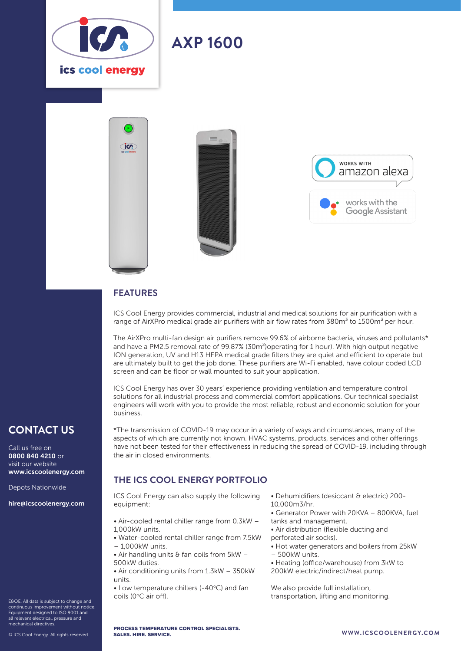

# **AXP 1600**





#### **FEATURES**

ice:

ICS Cool Energy provides commercial, industrial and medical solutions for air purification with a range of AirXPro medical grade air purifiers with air flow rates from  $380\text{m}^3$  to 1500m<sup>3</sup> per hour.

The AirXPro multi-fan design air purifiers remove 99.6% of airborne bacteria, viruses and pollutants\* and have a PM2.5 removal rate of 99.87% (30m<sup>2</sup>) operating for 1 hour). With high output negative ION generation, UV and H13 HEPA medical grade filters they are quiet and efficient to operate but are ultimately built to get the job done. These purifiers are Wi-Fi enabled, have colour coded LCD screen and can be floor or wall mounted to suit your application.

ICS Cool Energy has over 30 years' experience providing ventilation and temperature control solutions for all industrial process and commercial comfort applications. Our technical specialist engineers will work with you to provide the most reliable, robust and economic solution for your business.

\*The transmission of COVID-19 may occur in a variety of ways and circumstances, many of the aspects of which are currently not known. HVAC systems, products, services and other offerings have not been tested for their effectiveness in reducing the spread of COVID-19, including through

### **CONTACT US**

Call us free on 0800 840 4210 or visit our website www.icscoolenergy.com

Depots Nationwide

hire@icscoolenergy.com

- E&OE. All data is subject to change and
- continuous improvement without notice. Equipment designed to ISO 9001 and all relevant electrical, pressure and mechanical directives.

© ICS Cool Energy. All rights reserved.

## **THE ICS COOL ENERGY PORTFOLIO**

ICS Cool Energy can also supply the following equipment:

the air in closed environments.

- Air-cooled rental chiller range from 0.3kW 1,000kW units.
- Water-cooled rental chiller range from 7.5kW – 1,000kW units.
- Air handling units  $\theta$  fan coils from 5kW 500kW duties.
- Air conditioning units from 1.3kW 350kW units.
- $\bullet$  Low temperature chillers (-40 $\degree$ C) and fan coils (0°C air off).
- Dehumidifiers (desiccant & electric) 200- 10,000m3/hr.
- Generator Power with 20KVA 800KVA, fuel tanks and management.
- Air distribution (flexible ducting and
- perforated air socks).
- Hot water generators and boilers from 25kW – 500kW units.
- 
- Heating (office/warehouse) from 3kW to 200kW electric/indirect/heat pump.
- We also provide full installation, transportation, lifting and monitoring.